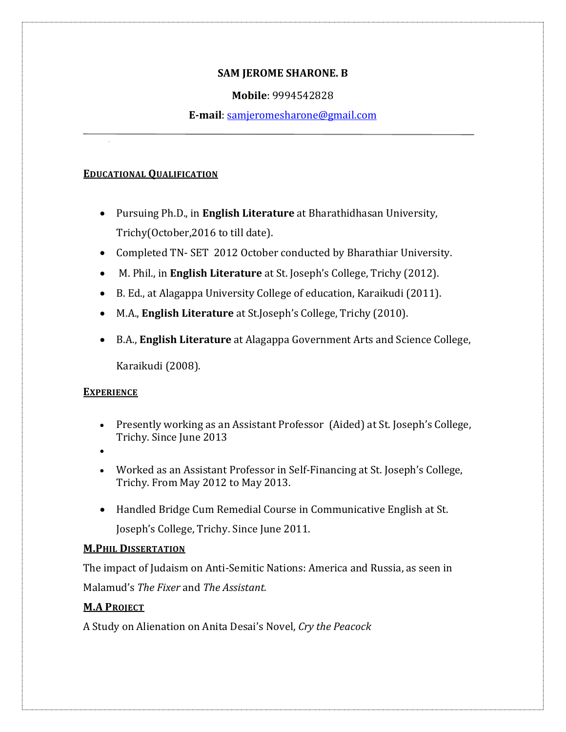#### **SAM JEROME SHARONE. B**

#### **Mobile**: 9994542828

**E-mail**: [samjeromesharone@gmail.com](mailto:samjeromesharone@gmail.com)

#### **EDUCATIONAL QUALIFICATION**

- Pursuing Ph.D., in **English Literature** at Bharathidhasan University, Trichy(October,2016 to till date).
- Completed TN- SET 2012 October conducted by Bharathiar University.
- M. Phil., in **English Literature** at St. Joseph's College, Trichy (2012).
- B. Ed., at Alagappa University College of education, Karaikudi (2011).
- M.A., **English Literature** at St.Joseph's College, Trichy (2010).
- B.A., **English Literature** at Alagappa Government Arts and Science College, Karaikudi (2008).

## **EXPERIENCE**

- Presently working as an Assistant Professor (Aided) at St. Joseph's College, Trichy. Since June 2013
- $\bullet$
- Worked as an Assistant Professor in Self-Financing at St. Joseph's College, Trichy. From May 2012 to May 2013.
- Handled Bridge Cum Remedial Course in Communicative English at St. Joseph's College, Trichy. Since June 2011.

#### **M.PHIL DISSERTATION**

The impact of Judaism on Anti-Semitic Nations: America and Russia, as seen in Malamudǯs *The Fixer* and *The Assistant.*

## **M.A PROJECT**

A Study on Alienation on Anita Desaiǯs Novel, *Cry the Peacock*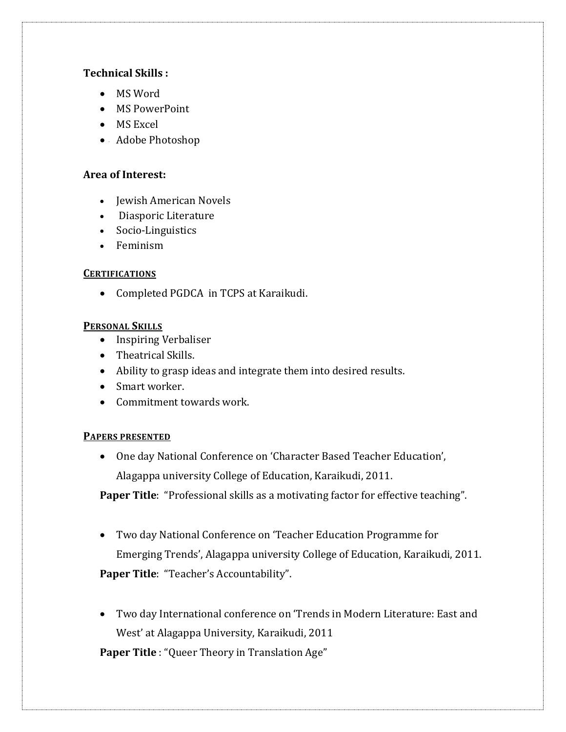## **Technical Skills :**

- MS Word
- MS PowerPoint
- MS Excel
- Adobe Photoshop

#### **Area of Interest:**

- Jewish American Novels
- Diasporic Literature
- Socio-Linguistics
- Feminism

#### **CERTIFICATIONS**

• Completed PGDCA in TCPS at Karaikudi.

## **PERSONAL SKILLS**

- Inspiring Verbaliser
- Theatrical Skills.
- Ability to grasp ideas and integrate them into desired results.
- Smart worker.
- Commitment towards work.

#### **PAPERS PRESENTED**

• One day National Conference on 'Character Based Teacher Education', Alagappa university College of Education, Karaikudi, 2011.

**Paper Title**: "Professional skills as a motivating factor for effective teaching".

• Two day National Conference on 'Teacher Education Programme for Emerging Trends', Alagappa university College of Education, Karaikudi, 2011.

Paper Title: "Teacher's Accountability".

• Two day International conference on 'Trends in Modern Literature: East and West' at Alagappa University, Karaikudi, 2011

Paper Title : "Queer Theory in Translation Age"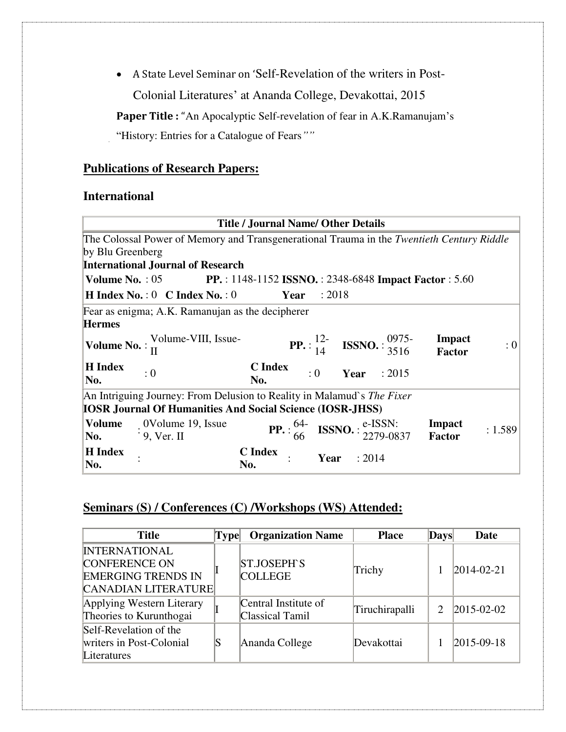• A State Level Seminar on 'Self-Revelation of the writers in Post-Colonial Literatures' at Ananda College, Devakottai, 2015

Paper Title : "An Apocalyptic Self-revelation of fear in A.K.Ramanujam's "History: Entries for a Catalogue of Fears*""*

## **Publications of Research Papers:**

# **International**

| <b>Title / Journal Name/ Other Details</b>                             |                                                                                           |                       |                          |                                                                                                     |                         |         |
|------------------------------------------------------------------------|-------------------------------------------------------------------------------------------|-----------------------|--------------------------|-----------------------------------------------------------------------------------------------------|-------------------------|---------|
|                                                                        | The Colossal Power of Memory and Transgenerational Trauma in the Twentieth Century Riddle |                       |                          |                                                                                                     |                         |         |
| by Blu Greenberg                                                       |                                                                                           |                       |                          |                                                                                                     |                         |         |
|                                                                        | <b>International Journal of Research</b>                                                  |                       |                          |                                                                                                     |                         |         |
|                                                                        | <b>Volume No.: 05</b> PP.: 1148-1152 ISSNO.: 2348-6848 Impact Factor: 5.60                |                       |                          |                                                                                                     |                         |         |
|                                                                        | <b>H</b> Index No.: $0 \text{ }$ C Index No.: $0 \text{ }$                                | <b>Year</b> : 2018    |                          |                                                                                                     |                         |         |
|                                                                        | Fear as enigma; A.K. Ramanujan as the decipherer                                          |                       |                          |                                                                                                     |                         |         |
| <b>Hermes</b>                                                          |                                                                                           |                       |                          |                                                                                                     |                         |         |
|                                                                        | <b>Volume No.</b> : $\frac{\text{Volume-VIII}}{\text{II}}$ Issue-                         |                       |                          | <b>PP.</b> $: \frac{12}{14}$ <b>ISSNO.</b> $: \frac{0975}{3516}$                                    | Impact<br><b>Factor</b> | : 0     |
| <b>H</b> Index<br>No.                                                  | : 0                                                                                       | <b>C</b> Index<br>No. |                          | $:0$ Year : 2015                                                                                    |                         |         |
| An Intriguing Journey: From Delusion to Reality in Malamud's The Fixer |                                                                                           |                       |                          |                                                                                                     |                         |         |
| <b>IOSR Journal Of Humanities And Social Science (IOSR-JHSS)</b>       |                                                                                           |                       |                          |                                                                                                     |                         |         |
| Volume<br>$\mathbf{No.}$                                               | : 0Volume 19, Issue<br>: 9, Ver. II                                                       |                       |                          | <b>PP.</b> : $\frac{64}{66}$ <b>ISSNO.</b> : $\frac{e\text{-ISSN}}{2279\text{-}0837}$ <b>Impact</b> |                         | : 1.589 |
| <b>H</b> Index<br>No.                                                  |                                                                                           | <b>C</b> Index<br>No. | $\therefore$ Year : 2014 |                                                                                                     |                         |         |

# **Seminars (S) / Conferences (C) /Workshops (WS) Attended:**

| <b>Title</b>                                                                                     | Type | <b>Organization Name</b>                | <b>Place</b>   | <b>Days</b>                 | Date               |
|--------------------------------------------------------------------------------------------------|------|-----------------------------------------|----------------|-----------------------------|--------------------|
| <b>INTERNATIONAL</b><br><b>CONFERENCE ON</b><br><b>EMERGING TRENDS IN</b><br>CANADIAN LITERATURE |      | <b>ST.JOSEPH'S</b><br><b>COLLEGE</b>    | Trichy         |                             | $ 2014 - 02 - 21 $ |
| Applying Western Literary<br>Theories to Kurunthogai                                             |      | Central Institute of<br>Classical Tamil | Tiruchirapalli | $\mathcal{D}_{\mathcal{L}}$ | $2015 - 02 - 02$   |
| Self-Revelation of the<br>writers in Post-Colonial<br>Literatures                                |      | Ananda College                          | Devakottai     |                             | $ 2015-09-18$      |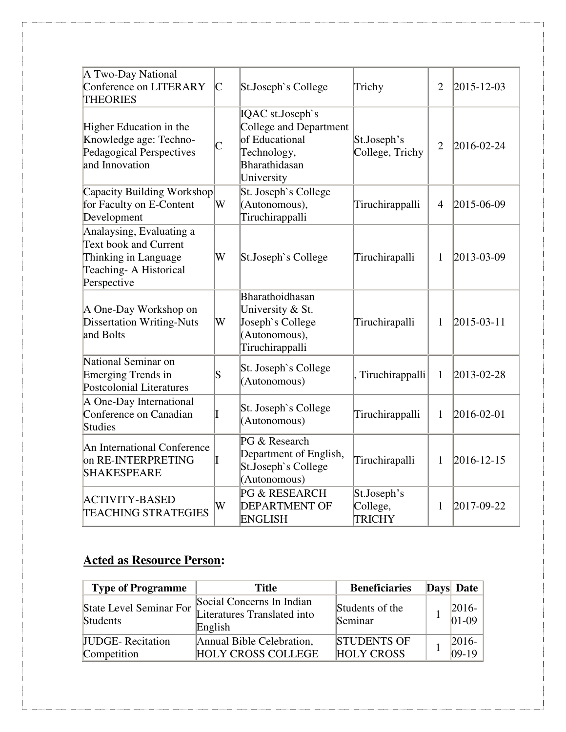| A Two-Day National<br>Conference on LITERARY<br><b>THEORIES</b>                                                           | $\mathsf{C}$       | St.Joseph's College                                                                                        | Trichy                                   | $\overline{2}$ | $ 2015 - 12 - 03 $ |
|---------------------------------------------------------------------------------------------------------------------------|--------------------|------------------------------------------------------------------------------------------------------------|------------------------------------------|----------------|--------------------|
| Higher Education in the<br>Knowledge age: Techno-<br>Pedagogical Perspectives<br>and Innovation                           | $\overline{\rm C}$ | IQAC st.Joseph`s<br>College and Department<br>of Educational<br>Technology,<br>Bharathidasan<br>University | St.Joseph's<br>College, Trichy           | $\overline{2}$ | 2016-02-24         |
| Capacity Building Workshop<br>for Faculty on E-Content<br>Development                                                     | W                  | St. Joseph's College<br>(Autonomous),<br>Tiruchirappalli                                                   | Tiruchirappalli                          | $\overline{4}$ | 2015-06-09         |
| Analaysing, Evaluating a<br><b>Text book and Current</b><br>Thinking in Language<br>Teaching- A Historical<br>Perspective | W                  | St.Joseph's College                                                                                        | Tiruchirapalli                           | 1              | 2013-03-09         |
| A One-Day Workshop on<br><b>Dissertation Writing-Nuts</b><br>and Bolts                                                    | W                  | Bharathoidhasan<br>University & St.<br>Joseph's College<br>(Autonomous),<br>Tiruchirappalli                | Tiruchirapalli                           | 1              | $ 2015 - 03 - 11 $ |
| National Seminar on<br><b>Emerging Trends in</b><br><b>Postcolonial Literatures</b>                                       | S                  | St. Joseph's College<br>(Autonomous)                                                                       | Tiruchirappalli                          | $\mathbf{1}$   | 2013-02-28         |
| A One-Day International<br>Conference on Canadian<br><b>Studies</b>                                                       |                    | St. Joseph's College<br>(Autonomous)                                                                       | Tiruchirappalli                          | 1              | $2016 - 02 - 01$   |
| An International Conference<br>on RE-INTERPRETING<br><b>SHAKESPEARE</b>                                                   |                    | PG & Research<br>Department of English,<br>St.Joseph's College<br>(Autonomous)                             | Tiruchirapalli                           | 1              | $2016 - 12 - 15$   |
| ACTIVITY-BASED<br><b>TEACHING STRATEGIES</b>                                                                              | W                  | PG & RESEARCH<br><b>DEPARTMENT OF</b><br><b>ENGLISH</b>                                                    | St.Joseph's<br>College,<br><b>TRICHY</b> | 1              | 2017-09-22         |

# **Acted as Resource Person:**

| <b>Type of Programme</b>            | <b>Title</b>                                                        | <b>Beneficiaries</b>       | <b>Days</b> Date     |
|-------------------------------------|---------------------------------------------------------------------|----------------------------|----------------------|
| State Level Seminar For<br>Students | Social Concerns In Indian<br>Literatures Translated into<br>English | Students of the<br>Seminar | $ 2016-$<br>$ 01-09$ |
| <b>JUDGE-Recitation</b>             | Annual Bible Celebration,                                           | <b>STUDENTS OF</b>         | $2016-$              |
| Competition                         | <b>HOLY CROSS COLLEGE</b>                                           | <b>HOLY CROSS</b>          | $ 09-19$             |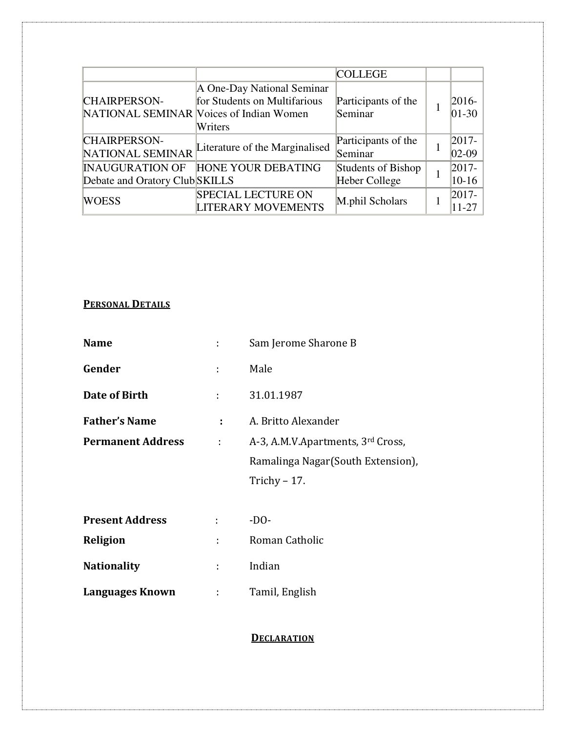|                                                          |                                                                                                                  | <b>COLLEGE</b>                      |                       |
|----------------------------------------------------------|------------------------------------------------------------------------------------------------------------------|-------------------------------------|-----------------------|
| <b>CHAIRPERSON-</b>                                      | A One-Day National Seminar<br>for Students on Multifarious<br>NATIONAL SEMINAR Voices of Indian Women<br>Writers | Participants of the<br>Seminar      | $ 2016-$<br>$ 01-30 $ |
| <b>CHAIRPERSON-</b><br>NATIONAL SEMINAR                  | Literature of the Marginalised                                                                                   | Participants of the<br>Seminar      | $2017 -$<br>$ 02-09 $ |
| <b>INAUGURATION OF</b><br>Debate and Oratory Club SKILLS | HONE YOUR DEBATING                                                                                               | Students of Bishop<br>Heber College | $2017 -$<br>$10 - 16$ |
| WOESS                                                    | <b>SPECIAL LECTURE ON</b><br><b>LITERARY MOVEMENTS</b>                                                           | M.phil Scholars                     | $ 2017-$<br>11-27     |

# **PERSONAL DETAILS**

| <b>Name</b>              |   | Sam Jerome Sharone B               |
|--------------------------|---|------------------------------------|
| Gender                   |   | Male                               |
| Date of Birth            |   | 31.01.1987                         |
| <b>Father's Name</b>     |   | A. Britto Alexander                |
| <b>Permanent Address</b> | ÷ | A-3, A.M.V.Apartments, 3rd Cross,  |
|                          |   | Ramalinga Nagar (South Extension), |
|                          |   | Trichy $-17$ .                     |

| <b>Present Address</b> | -DO-           |
|------------------------|----------------|
| Religion               | Roman Catholic |
| <b>Nationality</b>     | Indian         |
| <b>Languages Known</b> | Tamil, English |

# **DECLARATION**